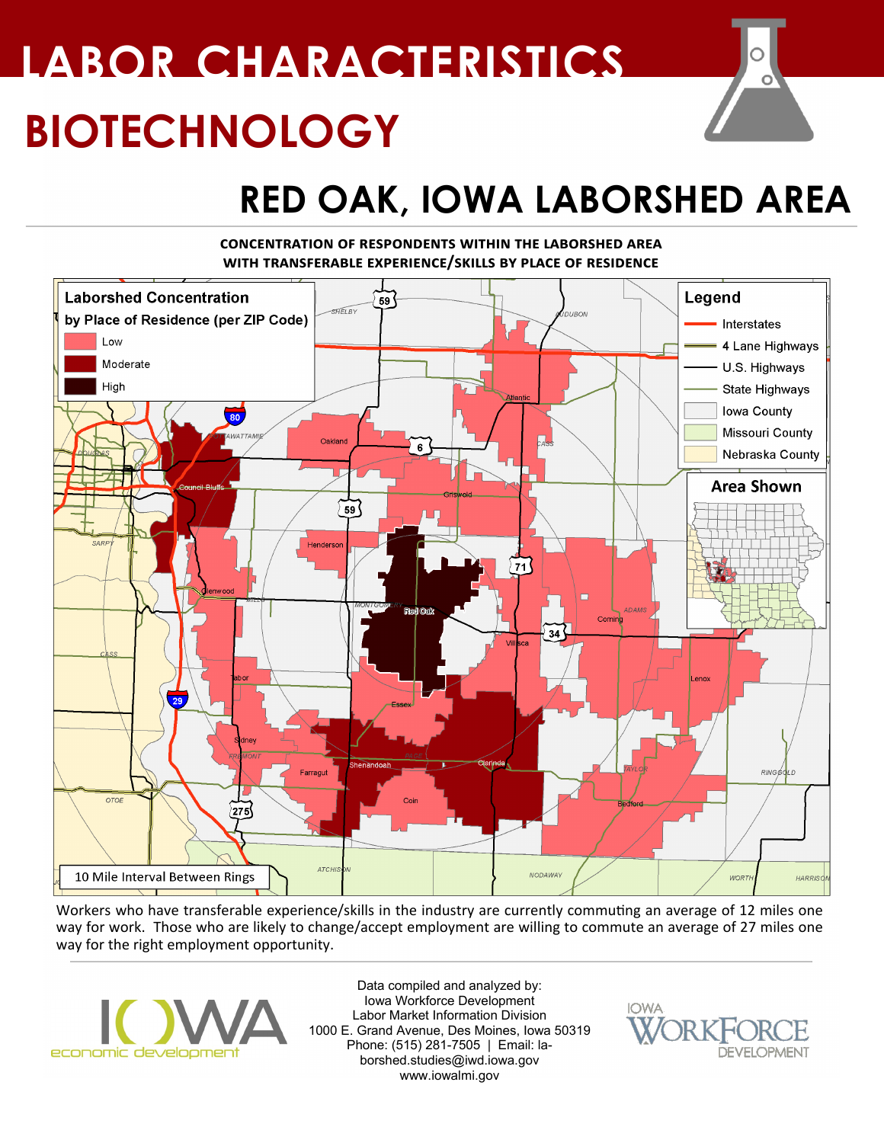# **BIOTECHNOLOGY LABOR CHARACTERISTICS**

## **RED OAK, IOWA LABORSHED AREA**

### **concentration of respondents within the laborshed area with transferable experience/skills by place of residence**



Workers who have transferable experience/skills in the industry are currently commuting an average of 12 miles one way for work. Those who are likely to change/accept employment are willing to commute an average of 27 miles one way for the right employment opportunity.



Data compiled and analyzed by: Iowa Workforce Development Labor Market Information Division 1000 E. Grand Avenue, Des Moines, Iowa 50319 Phone: (515) 281-7505 | Email: laborshed.studies@iwd.iowa.gov www.iowalmi.gov



 $\circ$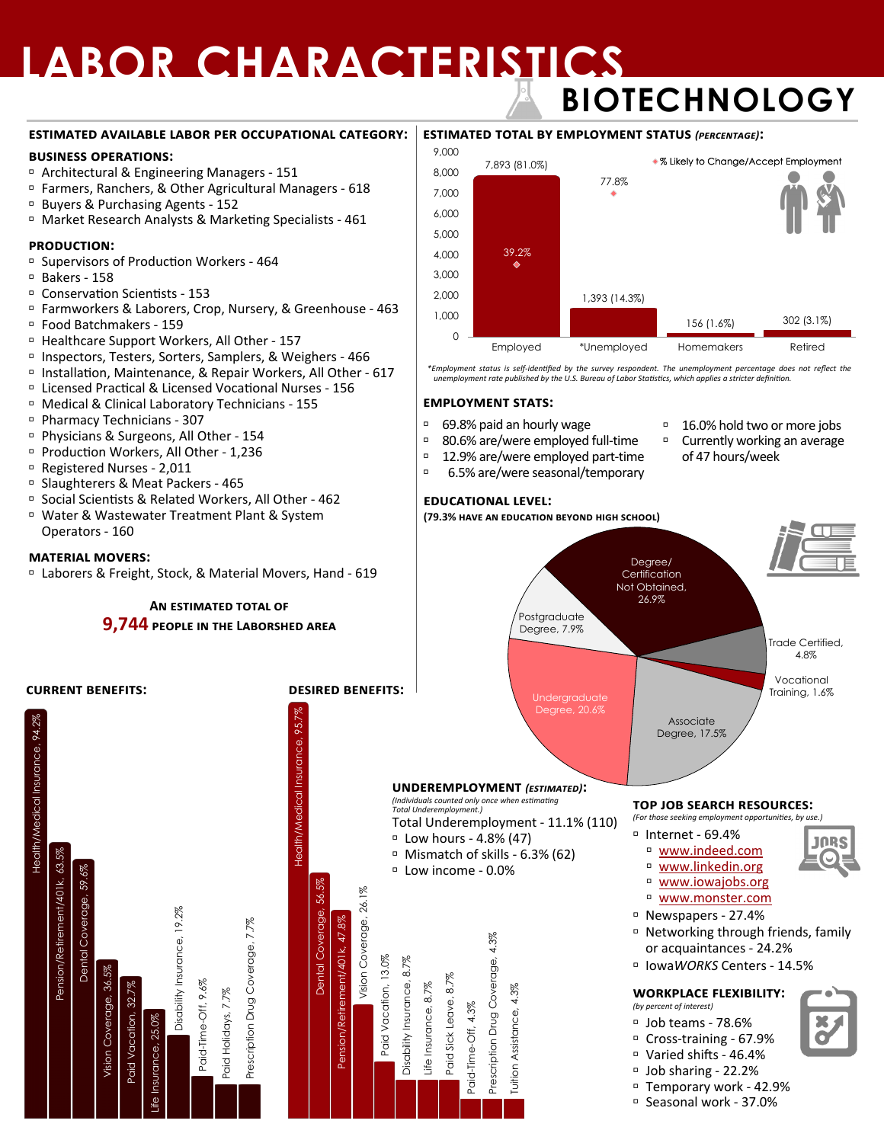### **LABOR CHARACTERISTICS BIOTECHNOLOGY**

#### **estimated available labor per occupational category:**

#### **business operations:**

- Architectural & Engineering Managers 151
- Farmers, Ranchers, & Other Agricultural Managers 618
- Buyers & Purchasing Agents 152
- Market Research Analysts & Marketing Specialists 461

#### **production:**

- Supervisors of Production Workers 464
- Bakers 158
- Conservation Scientists 153
- Farmworkers & Laborers, Crop, Nursery, & Greenhouse 463
- Food Batchmakers 159
- Healthcare Support Workers, All Other 157
- Inspectors, Testers, Sorters, Samplers, & Weighers 466
- □ Installation, Maintenance, & Repair Workers, All Other 617
- Licensed Practical & Licensed Vocational Nurses 156
- Medical & Clinical Laboratory Technicians 155
- Pharmacy Technicians 307
- Physicians & Surgeons, All Other 154
- Production Workers, All Other 1,236
- Registered Nurses 2,011
- Slaughterers & Meat Packers 465
- Social Scientists & Related Workers, All Other 462
- Water & Wastewater Treatment Plant & System Operators - 160

#### **material movers:**

Laborers & Freight, Stock, & Material Movers, Hand - 619

**An estimated total of** 

#### **9,744 people in the Laborshed area**



#### **estimated total by employment status** *(percentage)***:** Employed \*Unemployed Homemakers Retired  $\Omega$ 1,000 2,000 3,000 4,000 5,000 6,000 7,000 8,000 9,000 % Likely to Change/Accept Employment 7,893 (81.0%) 1,393 (14.3%) 156 (1.6%) 302 (3.1%) 39.2% 77.8%

\*Employment status is self-identified by the survey respondent. The unemployment percentage does not reflect the<br>unemployment rate published by the U.S. Bureau of Labor Statistics, which applies a stricter definition.

Degree/ **Certification** Not Obtained, 26.9%

#### **employment stats:**

- 69.8% paid an hourly wage
- 80.6% are/were employed full-time
- □ 12.9% are/were employed part-time
- 6.5% are/were seasonal/temporary

- **educational level:**
- **(79.3% have an education beyond high school)**

Postgraduate Degree, 7.9%





**top job search resources:** 

- **JORS**
- www.indeed.com
- 

Trade Certified, 4.8% Vocational Training, 1.6%

- 
- 
- 
- Networking through friends, family or acquaintances - 24.2%
- Iowa*WORKS* Centers 14.5%

#### **workplace flexibility:**

- 
- Cross-training 67.9%
- Varied shifts 46.4%
- 
- Temporary work 42.9%
- Seasonal work 37.0%